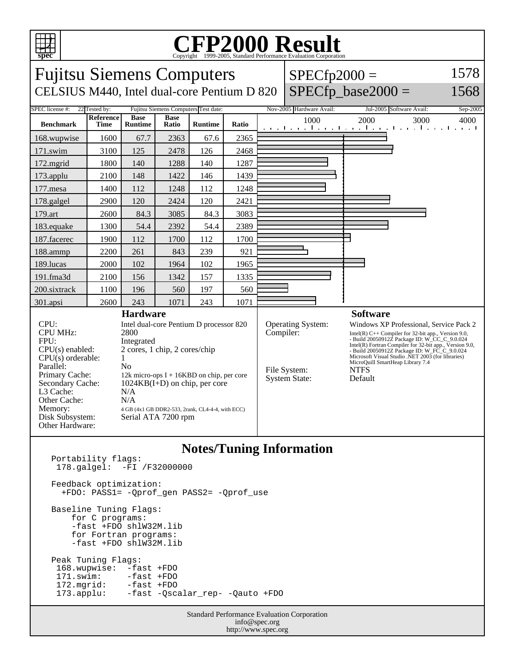

## C<sub>opyright</sub> ©1999-2005, Standard Performance Evaluation Corporation

| <b>Fujitsu Siemens Computers</b><br>CELSIUS M440, Intel dual-core Pentium D 820                                                                                                                                                                                                                                                                                                                                                                                                                      |                            |                |                                                     |                |           | $SPECfp2000 =$                                            | $SPECfp\_base2000 =$                                                                                                                                                                                                                                                                                                                                                              | 1578<br>1568                                         |                  |  |
|------------------------------------------------------------------------------------------------------------------------------------------------------------------------------------------------------------------------------------------------------------------------------------------------------------------------------------------------------------------------------------------------------------------------------------------------------------------------------------------------------|----------------------------|----------------|-----------------------------------------------------|----------------|-----------|-----------------------------------------------------------|-----------------------------------------------------------------------------------------------------------------------------------------------------------------------------------------------------------------------------------------------------------------------------------------------------------------------------------------------------------------------------------|------------------------------------------------------|------------------|--|
| <b>SPEC</b> license #:                                                                                                                                                                                                                                                                                                                                                                                                                                                                               | 22 Tested by:<br>Reference | <b>Base</b>    | Fujitsu Siemens Computers Test date:<br><b>Base</b> |                |           |                                                           | Nov-2005 Hardware Avail:<br>1000                                                                                                                                                                                                                                                                                                                                                  | Jul-2005 Software Avail:<br>2000<br>3000             | Sep-2005<br>4000 |  |
| <b>Benchmark</b>                                                                                                                                                                                                                                                                                                                                                                                                                                                                                     | <b>Time</b>                | <b>Runtime</b> | Ratio                                               | <b>Runtime</b> | Ratio     |                                                           |                                                                                                                                                                                                                                                                                                                                                                                   | a de la caractería de la caractería de la caractería |                  |  |
| 168.wupwise                                                                                                                                                                                                                                                                                                                                                                                                                                                                                          | 1600                       | 67.7           | 2363                                                | 67.6           | 2365      |                                                           |                                                                                                                                                                                                                                                                                                                                                                                   |                                                      |                  |  |
| 171.swim                                                                                                                                                                                                                                                                                                                                                                                                                                                                                             | 3100                       | 125            | 2478                                                | 126            | 2468      |                                                           |                                                                                                                                                                                                                                                                                                                                                                                   |                                                      |                  |  |
| 172.mgrid                                                                                                                                                                                                                                                                                                                                                                                                                                                                                            | 1800                       | 140            | 1288                                                | 140            | 1287      |                                                           |                                                                                                                                                                                                                                                                                                                                                                                   |                                                      |                  |  |
| 173.applu                                                                                                                                                                                                                                                                                                                                                                                                                                                                                            | 2100                       | 148            | 1422                                                | 146            | 1439      |                                                           |                                                                                                                                                                                                                                                                                                                                                                                   |                                                      |                  |  |
| 177.mesa                                                                                                                                                                                                                                                                                                                                                                                                                                                                                             | 1400                       | 112            | 1248                                                | 112            | 1248      |                                                           |                                                                                                                                                                                                                                                                                                                                                                                   |                                                      |                  |  |
| 178.galgel                                                                                                                                                                                                                                                                                                                                                                                                                                                                                           | 2900                       | 120            | 2424                                                | 120            | 2421      |                                                           |                                                                                                                                                                                                                                                                                                                                                                                   |                                                      |                  |  |
| 179.art                                                                                                                                                                                                                                                                                                                                                                                                                                                                                              | 2600                       | 84.3           | 3085                                                | 84.3           | 3083      |                                                           |                                                                                                                                                                                                                                                                                                                                                                                   |                                                      |                  |  |
| 183.equake                                                                                                                                                                                                                                                                                                                                                                                                                                                                                           | 1300                       | 54.4           | 2392                                                | 54.4           | 2389      |                                                           |                                                                                                                                                                                                                                                                                                                                                                                   |                                                      |                  |  |
| 187.facerec                                                                                                                                                                                                                                                                                                                                                                                                                                                                                          | 1900                       | 112            | 1700                                                | 112            | 1700      |                                                           |                                                                                                                                                                                                                                                                                                                                                                                   |                                                      |                  |  |
| 188.ammp                                                                                                                                                                                                                                                                                                                                                                                                                                                                                             | 2200                       | 261            | 843                                                 | 239            | 921       |                                                           |                                                                                                                                                                                                                                                                                                                                                                                   |                                                      |                  |  |
| 189.lucas                                                                                                                                                                                                                                                                                                                                                                                                                                                                                            | 2000                       | 102            | 1964                                                | 102            | 1965      |                                                           |                                                                                                                                                                                                                                                                                                                                                                                   |                                                      |                  |  |
| 191.fma3d                                                                                                                                                                                                                                                                                                                                                                                                                                                                                            | 2100                       | 156            | 1342                                                | 157            | 1335      |                                                           |                                                                                                                                                                                                                                                                                                                                                                                   |                                                      |                  |  |
| 200.sixtrack                                                                                                                                                                                                                                                                                                                                                                                                                                                                                         | 1100                       | 196            | 560                                                 | 197            | 560       |                                                           |                                                                                                                                                                                                                                                                                                                                                                                   |                                                      |                  |  |
| 301.apsi                                                                                                                                                                                                                                                                                                                                                                                                                                                                                             | 2600                       | 243            | 1071                                                | 243            | 1071      |                                                           |                                                                                                                                                                                                                                                                                                                                                                                   |                                                      |                  |  |
| <b>Hardware</b>                                                                                                                                                                                                                                                                                                                                                                                                                                                                                      |                            |                |                                                     |                |           |                                                           |                                                                                                                                                                                                                                                                                                                                                                                   | <b>Software</b>                                      |                  |  |
| CPU:<br>Intel dual-core Pentium D processor 820<br><b>CPU MHz:</b><br>2800<br>FPU:<br>Integrated<br>2 cores, 1 chip, 2 cores/chip<br>$CPU(s)$ enabled:<br>$CPU(s)$ orderable:<br>1<br>Parallel:<br>No<br>Primary Cache:<br>12k micro-ops $I + 16KBD$ on chip, per core<br>Secondary Cache:<br>$1024KB(I+D)$ on chip, per core<br>L3 Cache:<br>N/A<br>Other Cache:<br>N/A<br>Memory:<br>4 GB (4x1 GB DDR2-533, 2rank, CL4-4-4, with ECC)<br>Disk Subsystem:<br>Serial ATA 7200 rpm<br>Other Hardware: |                            |                |                                                     |                | Compiler: | Operating System:<br>File System:<br><b>System State:</b> | Windows XP Professional, Service Pack 2<br>Intel(R) $C++$ Compiler for 32-bit app., Version 9.0,<br>- Build 20050912Z Package ID: W_CC_C_9.0.024<br>Intel $(R)$ Fortran Compiler for 32-bit app., Version 9.0,<br>- Build 20050912Z Package ID: W_FC_C_9.0.024<br>Microsoft Visual Studio .NET 2003 (for libraries)<br>MicroQuill SmartHeap Library 7.4<br><b>NTFS</b><br>Default |                                                      |                  |  |
| $\mathbf{M}$ $\mathbf{M}$<br>T.                                                                                                                                                                                                                                                                                                                                                                                                                                                                      |                            |                |                                                     |                |           |                                                           |                                                                                                                                                                                                                                                                                                                                                                                   |                                                      |                  |  |

## **Notes/Tuning Information**

Portability flags: 178.galgel: -FI /F32000000 Feedback optimization: +FDO: PASS1= -Qprof\_gen PASS2= -Qprof\_use Baseline Tuning Flags: for C programs: -fast +FDO shlW32M.lib for Fortran programs: -fast +FDO shlW32M.lib Peak Tuning Flags: 168.wupwise: -fast +FDO<br>171.swim: -fast +FDO 171.swim: -fast +FDO 172.mgrid: -fast +FDO 173.applu: -fast -Qscalar\_rep- -Qauto +FDO

Standard Performance Evaluation Corporation info@spec.org http://www.spec.org